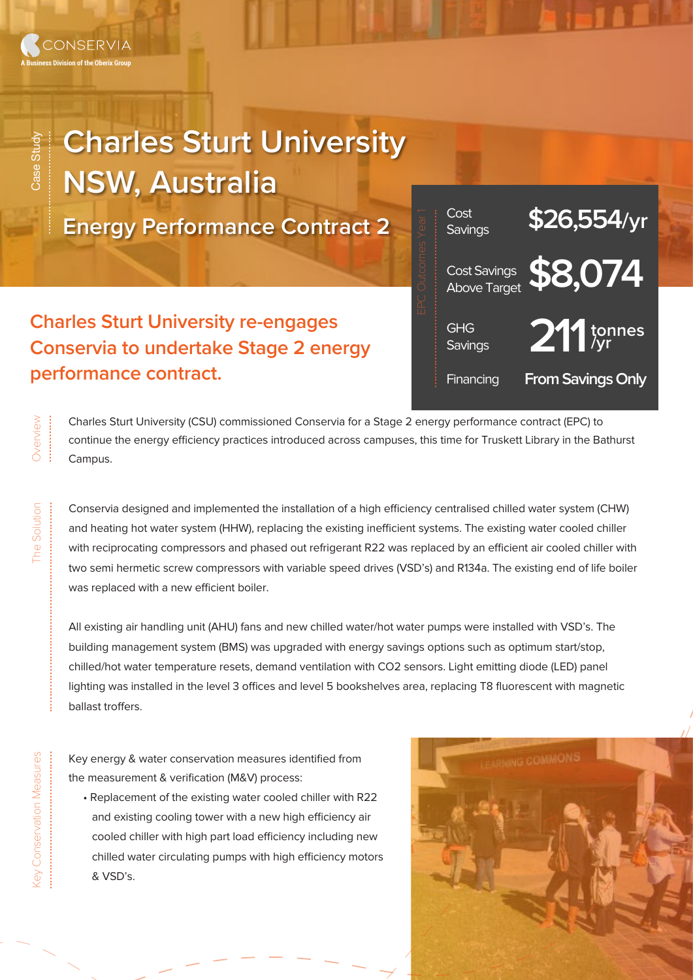## **Charles Sturt University NSW, Australia**

**Energy Performance Contract 2**

**Charles Sturt University re-engages Conservia to undertake Stage 2 energy performance contract.**



Charles Sturt University (CSU) commissioned Conservia for a Stage 2 energy performance contract (EPC) to continue the energy efficiency practices introduced across campuses, this time for Truskett Library in the Bathurst Campus.

Conservia designed and implemented the installation of a high efficiency centralised chilled water system (CHW) and heating hot water system (HHW), replacing the existing inefficient systems. The existing water cooled chiller with reciprocating compressors and phased out refrigerant R22 was replaced by an efficient air cooled chiller with two semi hermetic screw compressors with variable speed drives (VSD's) and R134a. The existing end of life boiler was replaced with a new efficient boiler.

All existing air handling unit (AHU) fans and new chilled water/hot water pumps were installed with VSD's. The building management system (BMS) was upgraded with energy savings options such as optimum start/stop, chilled/hot water temperature resets, demand ventilation with CO2 sensors. Light emitting diode (LED) panel lighting was installed in the level 3 offices and level 5 bookshelves area, replacing T8 fluorescent with magnetic ballast troffers.

Key energy & water conservation measures identified from the measurement & verification (M&V) process:

 • Replacement of the existing water cooled chiller with R22 and existing cooling tower with a new high efficiency air cooled chiller with high part load efficiency including new chilled water circulating pumps with high efficiency motors & VSD's.



............................................

Overview ...............

Overview

The Solution

Case Study

Case Study

.................................

The Solution ...................................................................